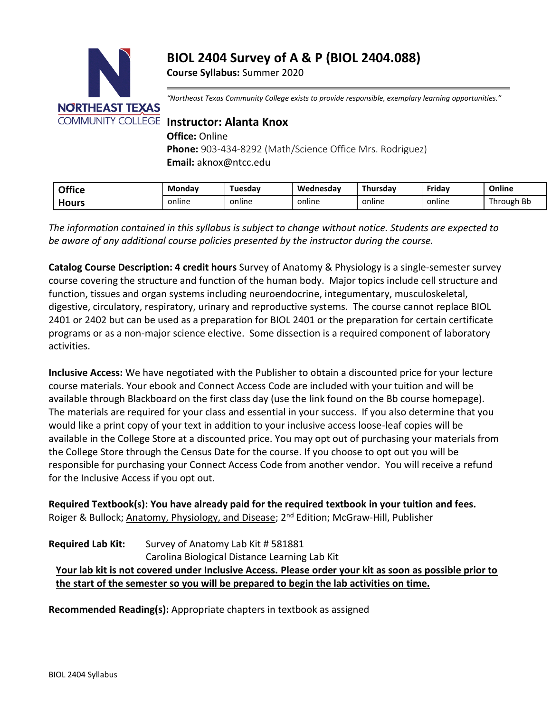# **BIOL 2404 Survey of A & P (BIOL 2404.088)**

**Course Syllabus:** Summer 2020



*"Northeast Texas Community College exists to provide responsible, exemplary learning opportunities."*

**Office:** Online

**Phone:** 903-434-8292 (Math/Science Office Mrs. Rodriguez) **Email:** aknox@ntcc.edu

| <b>Office</b> | <b>Monday</b> | Tuesdav | Wednesdav | Thursdav | Fridav | Online     |
|---------------|---------------|---------|-----------|----------|--------|------------|
| Hours         | online        | online  | online    | online   | online | Through Bb |

*The information contained in this syllabus is subject to change without notice. Students are expected to be aware of any additional course policies presented by the instructor during the course.*

**Catalog Course Description: 4 credit hours** Survey of Anatomy & Physiology is a single-semester survey course covering the structure and function of the human body. Major topics include cell structure and function, tissues and organ systems including neuroendocrine, integumentary, musculoskeletal, digestive, circulatory, respiratory, urinary and reproductive systems. The course cannot replace BIOL 2401 or 2402 but can be used as a preparation for BIOL 2401 or the preparation for certain certificate programs or as a non-major science elective. Some dissection is a required component of laboratory activities.

**Inclusive Access:** We have negotiated with the Publisher to obtain a discounted price for your lecture course materials. Your ebook and Connect Access Code are included with your tuition and will be available through Blackboard on the first class day (use the link found on the Bb course homepage). The materials are required for your class and essential in your success. If you also determine that you would like a print copy of your text in addition to your inclusive access loose-leaf copies will be available in the College Store at a discounted price. You may opt out of purchasing your materials from the College Store through the Census Date for the course. If you choose to opt out you will be responsible for purchasing your Connect Access Code from another vendor. You will receive a refund for the Inclusive Access if you opt out.

**Required Textbook(s): You have already paid for the required textbook in your tuition and fees.** Roiger & Bullock; Anatomy, Physiology, and Disease; 2<sup>nd</sup> Edition; McGraw-Hill, Publisher

# **Required Lab Kit:** Survey of Anatomy Lab Kit # 581881 Carolina Biological Distance Learning Lab Kit **Your lab kit is not covered under Inclusive Access. Please order your kit as soon as possible prior to the start of the semester so you will be prepared to begin the lab activities on time.**

**Recommended Reading(s):** Appropriate chapters in textbook as assigned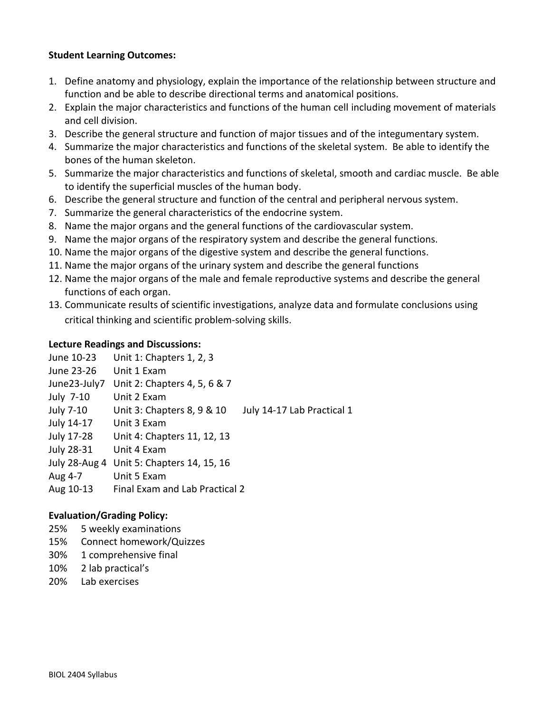## **Student Learning Outcomes:**

- 1. Define anatomy and physiology, explain the importance of the relationship between structure and function and be able to describe directional terms and anatomical positions.
- 2. Explain the major characteristics and functions of the human cell including movement of materials and cell division.
- 3. Describe the general structure and function of major tissues and of the integumentary system.
- 4. Summarize the major characteristics and functions of the skeletal system. Be able to identify the bones of the human skeleton.
- 5. Summarize the major characteristics and functions of skeletal, smooth and cardiac muscle. Be able to identify the superficial muscles of the human body.
- 6. Describe the general structure and function of the central and peripheral nervous system.
- 7. Summarize the general characteristics of the endocrine system.
- 8. Name the major organs and the general functions of the cardiovascular system.
- 9. Name the major organs of the respiratory system and describe the general functions.
- 10. Name the major organs of the digestive system and describe the general functions.
- 11. Name the major organs of the urinary system and describe the general functions
- 12. Name the major organs of the male and female reproductive systems and describe the general functions of each organ.
- 13. Communicate results of scientific investigations, analyze data and formulate conclusions using critical thinking and scientific problem-solving skills.

### **Lecture Readings and Discussions:**

| June 10-23   | Unit 1: Chapters 1, 2, 3                                 |
|--------------|----------------------------------------------------------|
| June 23-26   | Unit 1 Exam                                              |
| June23-July7 | Unit 2: Chapters 4, 5, 6 & 7                             |
| July 7-10    | Unit 2 Exam                                              |
| July 7-10    | Unit 3: Chapters 8, 9 & 10<br>July 14-17 Lab Practical 1 |
| July 14-17   | Unit 3 Exam                                              |
| July 17-28   | Unit 4: Chapters 11, 12, 13                              |
| July 28-31   | Unit 4 Exam                                              |
|              | July 28-Aug 4 Unit 5: Chapters 14, 15, 16                |
| Aug 4-7      | Unit 5 Exam                                              |
| Aug 10-13    | Final Exam and Lab Practical 2                           |

### **Evaluation/Grading Policy:**

- 25% 5 weekly examinations
- 15% Connect homework/Quizzes
- 30% 1 comprehensive final
- 10% 2 lab practical's
- 20% Lab exercises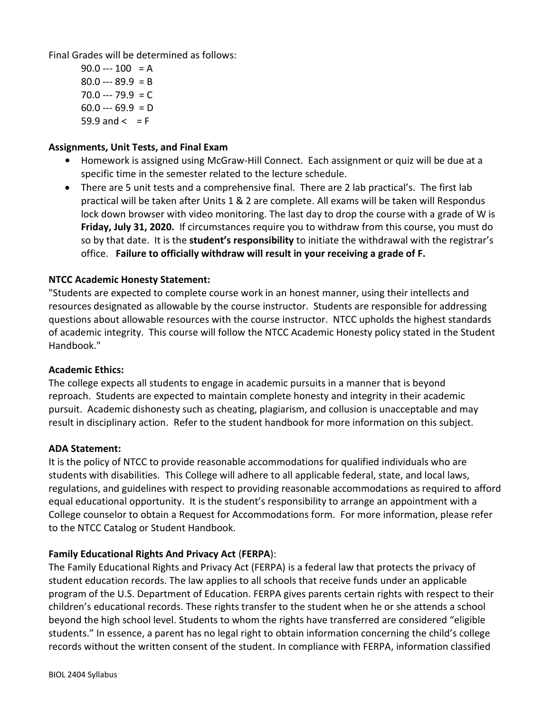Final Grades will be determined as follows:

 $90.0 -- 100 = A$  $80.0 - 89.9 = B$  $70.0 - 79.9 = C$  $60.0 - 69.9 = D$  $59.9$  and  $\lt$  = F

# **Assignments, Unit Tests, and Final Exam**

- **•** Homework is assigned using McGraw-Hill Connect. Each assignment or quiz will be due at a specific time in the semester related to the lecture schedule.
- There are 5 unit tests and a comprehensive final. There are 2 lab practical's. The first lab practical will be taken after Units 1 & 2 are complete. All exams will be taken will Respondus lock down browser with video monitoring. The last day to drop the course with a grade of W is **Friday, July 31, 2020.** If circumstances require you to withdraw from this course, you must do so by that date. It is the **student's responsibility** to initiate the withdrawal with the registrar's office. **Failure to officially withdraw will result in your receiving a grade of F.**

# **NTCC Academic Honesty Statement:**

"Students are expected to complete course work in an honest manner, using their intellects and resources designated as allowable by the course instructor. Students are responsible for addressing questions about allowable resources with the course instructor. NTCC upholds the highest standards of academic integrity. This course will follow the NTCC Academic Honesty policy stated in the Student Handbook."

### **Academic Ethics:**

The college expects all students to engage in academic pursuits in a manner that is beyond reproach. Students are expected to maintain complete honesty and integrity in their academic pursuit. Academic dishonesty such as cheating, plagiarism, and collusion is unacceptable and may result in disciplinary action. Refer to the student handbook for more information on this subject.

### **ADA Statement:**

It is the policy of NTCC to provide reasonable accommodations for qualified individuals who are students with disabilities. This College will adhere to all applicable federal, state, and local laws, regulations, and guidelines with respect to providing reasonable accommodations as required to afford equal educational opportunity. It is the student's responsibility to arrange an appointment with a College counselor to obtain a Request for Accommodations form. For more information, please refer to the NTCC Catalog or Student Handbook.

# **Family Educational Rights And Privacy Act** (**FERPA**):

The Family Educational Rights and Privacy Act (FERPA) is a federal law that protects the privacy of student education records. The law applies to all schools that receive funds under an applicable program of the U.S. Department of Education. FERPA gives parents certain rights with respect to their children's educational records. These rights transfer to the student when he or she attends a school beyond the high school level. Students to whom the rights have transferred are considered "eligible students." In essence, a parent has no legal right to obtain information concerning the child's college records without the written consent of the student. In compliance with FERPA, information classified